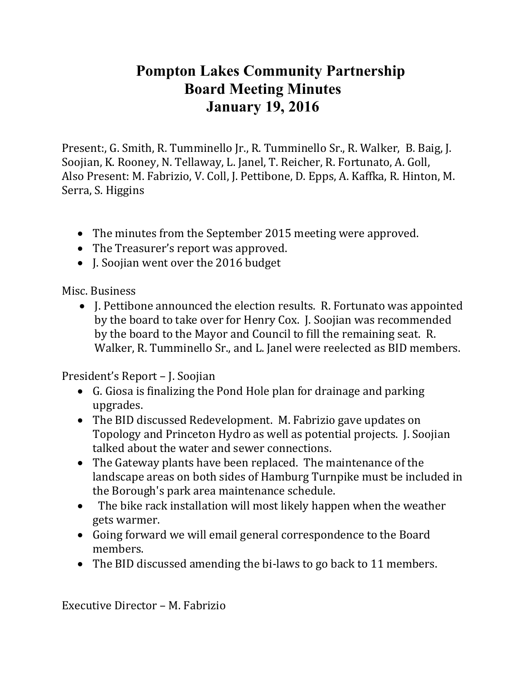## **Pompton Lakes Community Partnership Board Meeting Minutes January 19, 2016**

Present:, G. Smith, R. Tumminello Jr., R. Tumminello Sr., R. Walker, B. Baig, J. Soojian, K. Rooney, N. Tellaway, L. Janel, T. Reicher, R. Fortunato, A. Goll, Also Present: M. Fabrizio, V. Coll, J. Pettibone, D. Epps, A. Kaffka, R. Hinton, M. Serra, S. Higgins

- The minutes from the September 2015 meeting were approved.
- The Treasurer's report was approved.
- J. Soojian went over the 2016 budget

Misc. Business

• I. Pettibone announced the election results. R. Fortunato was appointed by the board to take over for Henry Cox. J. Soojian was recommended by the board to the Mayor and Council to fill the remaining seat. R. Walker, R. Tumminello Sr., and L. Janel were reelected as BID members.

President's Report – J. Soojian

- G. Giosa is finalizing the Pond Hole plan for drainage and parking upgrades.
- The BID discussed Redevelopment. M. Fabrizio gave updates on Topology and Princeton Hydro as well as potential projects. J. Soojian talked about the water and sewer connections.
- The Gateway plants have been replaced. The maintenance of the landscape areas on both sides of Hamburg Turnpike must be included in the Borough's park area maintenance schedule.
- The bike rack installation will most likely happen when the weather gets warmer.
- Going forward we will email general correspondence to the Board members.
- The BID discussed amending the bi-laws to go back to 11 members.

Executive Director – M. Fabrizio